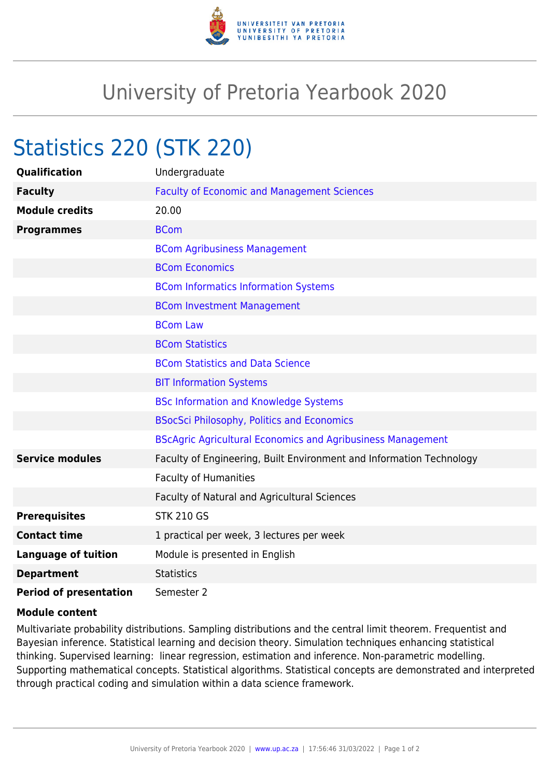

## University of Pretoria Yearbook 2020

## Statistics 220 (STK 220)

| <b>Qualification</b>          | Undergraduate                                                        |
|-------------------------------|----------------------------------------------------------------------|
| <b>Faculty</b>                | <b>Faculty of Economic and Management Sciences</b>                   |
| <b>Module credits</b>         | 20.00                                                                |
| <b>Programmes</b>             | <b>BCom</b>                                                          |
|                               | <b>BCom Agribusiness Management</b>                                  |
|                               | <b>BCom Economics</b>                                                |
|                               | <b>BCom Informatics Information Systems</b>                          |
|                               | <b>BCom Investment Management</b>                                    |
|                               | <b>BCom Law</b>                                                      |
|                               | <b>BCom Statistics</b>                                               |
|                               | <b>BCom Statistics and Data Science</b>                              |
|                               | <b>BIT Information Systems</b>                                       |
|                               | <b>BSc Information and Knowledge Systems</b>                         |
|                               | <b>BSocSci Philosophy, Politics and Economics</b>                    |
|                               | <b>BScAgric Agricultural Economics and Agribusiness Management</b>   |
| <b>Service modules</b>        | Faculty of Engineering, Built Environment and Information Technology |
|                               | <b>Faculty of Humanities</b>                                         |
|                               | Faculty of Natural and Agricultural Sciences                         |
| <b>Prerequisites</b>          | <b>STK 210 GS</b>                                                    |
| <b>Contact time</b>           | 1 practical per week, 3 lectures per week                            |
| <b>Language of tuition</b>    | Module is presented in English                                       |
| <b>Department</b>             | <b>Statistics</b>                                                    |
| <b>Period of presentation</b> | Semester 2                                                           |

## **Module content**

Multivariate probability distributions. Sampling distributions and the central limit theorem. Frequentist and Bayesian inference. Statistical learning and decision theory. Simulation techniques enhancing statistical thinking. Supervised learning: linear regression, estimation and inference. Non-parametric modelling. Supporting mathematical concepts. Statistical algorithms. Statistical concepts are demonstrated and interpreted through practical coding and simulation within a data science framework.